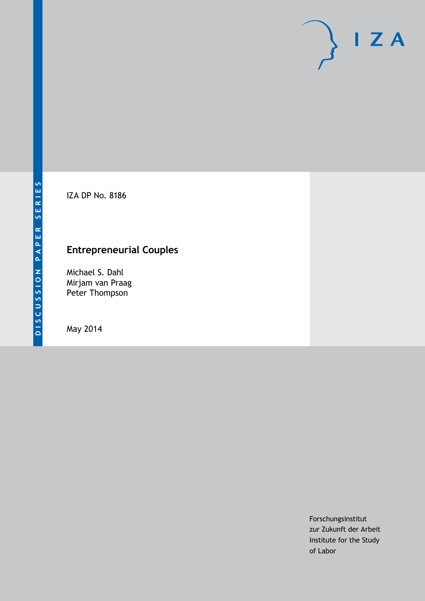IZA DP No. 8186

## **Entrepreneurial Couples**

Michael S. Dahl Mirjam van Praag Peter Thompson

May 2014

Forschungsinstitut zur Zukunft der Arbeit Institute for the Study of Labor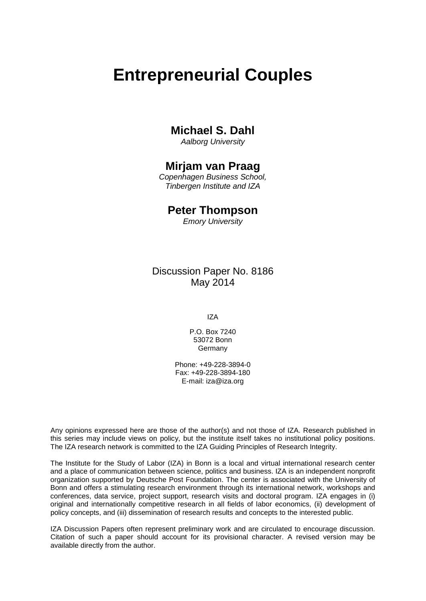# **Entrepreneurial Couples**

## **Michael S. Dahl**

*Aalborg University*

### **Mirjam van Praag**

*Copenhagen Business School, Tinbergen Institute and IZA*

### **Peter Thompson**

*Emory University*

### Discussion Paper No. 8186 May 2014

IZA

P.O. Box 7240 53072 Bonn Germany

Phone: +49-228-3894-0 Fax: +49-228-3894-180 E-mail: [iza@iza.org](mailto:iza@iza.org)

Any opinions expressed here are those of the author(s) and not those of IZA. Research published in this series may include views on policy, but the institute itself takes no institutional policy positions. The IZA research network is committed to the IZA Guiding Principles of Research Integrity.

The Institute for the Study of Labor (IZA) in Bonn is a local and virtual international research center and a place of communication between science, politics and business. IZA is an independent nonprofit organization supported by Deutsche Post Foundation. The center is associated with the University of Bonn and offers a stimulating research environment through its international network, workshops and conferences, data service, project support, research visits and doctoral program. IZA engages in (i) original and internationally competitive research in all fields of labor economics, (ii) development of policy concepts, and (iii) dissemination of research results and concepts to the interested public.

IZA Discussion Papers often represent preliminary work and are circulated to encourage discussion. Citation of such a paper should account for its provisional character. A revised version may be available directly from the author.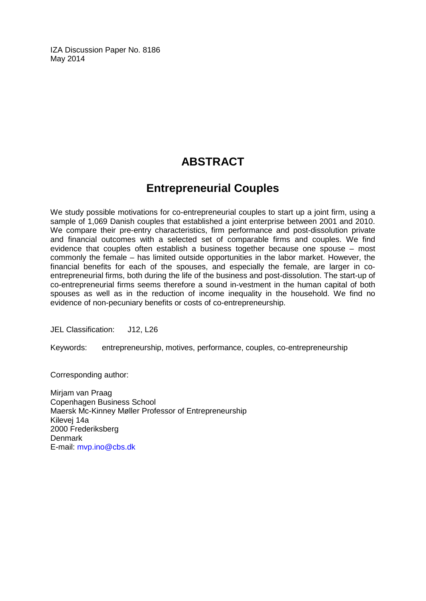IZA Discussion Paper No. 8186 May 2014

## **ABSTRACT**

## **Entrepreneurial Couples**

We study possible motivations for co-entrepreneurial couples to start up a joint firm, using a sample of 1,069 Danish couples that established a joint enterprise between 2001 and 2010. We compare their pre-entry characteristics, firm performance and post-dissolution private and financial outcomes with a selected set of comparable firms and couples. We find evidence that couples often establish a business together because one spouse – most commonly the female – has limited outside opportunities in the labor market. However, the financial benefits for each of the spouses, and especially the female, are larger in coentrepreneurial firms, both during the life of the business and post-dissolution. The start-up of co-entrepreneurial firms seems therefore a sound in-vestment in the human capital of both spouses as well as in the reduction of income inequality in the household. We find no evidence of non-pecuniary benefits or costs of co-entrepreneurship.

JEL Classification: J12, L26

Keywords: entrepreneurship, motives, performance, couples, co-entrepreneurship

Corresponding author:

Mirjam van Praag Copenhagen Business School Maersk Mc-Kinney Møller Professor of Entrepreneurship Kilevej 14a 2000 Frederiksberg **Denmark** E-mail: [mvp.ino@cbs.dk](mailto:mvp.ino@cbs.dk)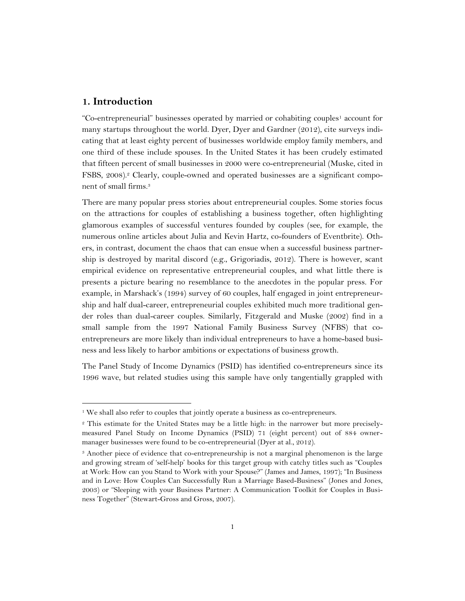#### **1. Introduction**

 $\ddot{\phantom{a}}$ 

"Co-entrepreneurial" businesses operated by married or cohabiting couples<sup>1</sup> account for many startups throughout the world. Dyer, Dyer and Gardner (2012), cite surveys indicating that at least eighty percent of businesses worldwide employ family members, and one third of these include spouses. In the United States it has been crudely estimated that fifteen percent of small businesses in 2000 were co-entrepreneurial (Muske, cited in FSBS, 2008).<sup>2</sup> Clearly, couple-owned and operated businesses are a significant component of small firms.<sup>3</sup>

There are many popular press stories about entrepreneurial couples. Some stories focus on the attractions for couples of establishing a business together, often highlighting glamorous examples of successful ventures founded by couples (see, for example, the numerous online articles about Julia and Kevin Hartz, co-founders of Eventbrite). Others, in contrast, document the chaos that can ensue when a successful business partnership is destroyed by marital discord (e.g., [Grigoriadis,](https://www.byliner.com/vanessa-grigoriadis) 2012). There is however, scant empirical evidence on representative entrepreneurial couples, and what little there is presents a picture bearing no resemblance to the anecdotes in the popular press. For example, in Marshack's (1994) survey of 60 couples, half engaged in joint entrepreneurship and half dual-career, entrepreneurial couples exhibited much more traditional gender roles than dual-career couples. Similarly, Fitzgerald and Muske (2002) find in a small sample from the 1997 National Family Business Survey (NFBS) that coentrepreneurs are more likely than individual entrepreneurs to have a home-based business and less likely to harbor ambitions or expectations of business growth.

The Panel Study of Income Dynamics (PSID) has identified co-entrepreneurs since its 1996 wave, but related studies using this sample have only tangentially grappled with

<sup>&</sup>lt;sup>1</sup> We shall also refer to couples that jointly operate a business as co-entrepreneurs.

<sup>2</sup> This estimate for the United States may be a little high: in the narrower but more preciselymeasured Panel Study on Income Dynamics (PSID) 71 (eight percent) out of 884 ownermanager businesses were found to be co-entrepreneurial (Dyer at al., 2012).

<sup>&</sup>lt;sup>3</sup> Another piece of evidence that co-entrepreneurship is not a marginal phenomenon is the large and growing stream of 'self-help' books for this target group with catchy titles such as "Couples at Work: How can you Stand to Work with your Spouse?" (James and James, 1997); "In Business and in Love: How Couples Can Successfully Run a Marriage Based-Business" (Jones and Jones, 2003) or "Sleeping with your Business Partner: A Communication Toolkit for Couples in Business Together" (Stewart-Gross and Gross, 2007).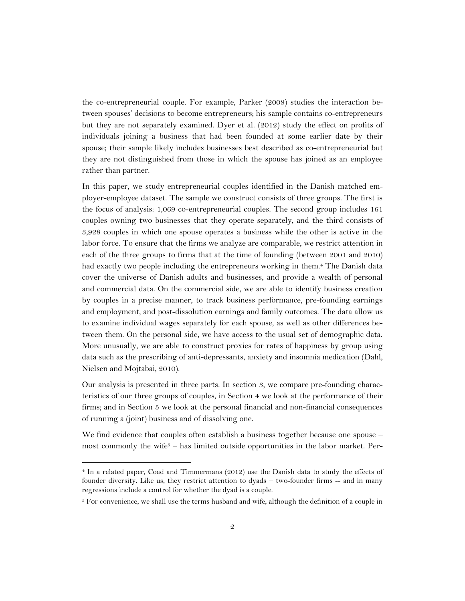the co-entrepreneurial couple. For example, Parker (2008) studies the interaction between spouses' decisions to become entrepreneurs; his sample contains co-entrepreneurs but they are not separately examined. Dyer et al. (2012) study the effect on profits of individuals joining a business that had been founded at some earlier date by their spouse; their sample likely includes businesses best described as co-entrepreneurial but they are not distinguished from those in which the spouse has joined as an employee rather than partner.

In this paper, we study entrepreneurial couples identified in the Danish matched employer-employee dataset. The sample we construct consists of three groups. The first is the focus of analysis: 1,069 co-entrepreneurial couples. The second group includes 161 couples owning two businesses that they operate separately, and the third consists of 3,928 couples in which one spouse operates a business while the other is active in the labor force. To ensure that the firms we analyze are comparable, we restrict attention in each of the three groups to firms that at the time of founding (between 2001 and 2010) had exactly two people including the entrepreneurs working in them.<sup>4</sup> The Danish data cover the universe of Danish adults and businesses, and provide a wealth of personal and commercial data. On the commercial side, we are able to identify business creation by couples in a precise manner, to track business performance, pre-founding earnings and employment, and post-dissolution earnings and family outcomes. The data allow us to examine individual wages separately for each spouse, as well as other differences between them. On the personal side, we have access to the usual set of demographic data. More unusually, we are able to construct proxies for rates of happiness by group using data such as the prescribing of anti-depressants, anxiety and insomnia medication (Dahl, Nielsen and Mojtabai, 2010).

Our analysis is presented in three parts. In section 3, we compare pre-founding characteristics of our three groups of couples, in Section 4 we look at the performance of their firms; and in Section 5 we look at the personal financial and non-financial consequences of running a (joint) business and of dissolving one.

We find evidence that couples often establish a business together because one spouse – most commonly the wife<sup> $5$ </sup> – has limited outside opportunities in the labor market. Per-

 $\ddot{\phantom{a}}$ 

<sup>4</sup> In a related paper, Coad and Timmermans (2012) use the Danish data to study the effects of founder diversity. Like us, they restrict attention to dyads – two-founder firms -- and in many regressions include a control for whether the dyad is a couple.

 $5$  For convenience, we shall use the terms husband and wife, although the definition of a couple in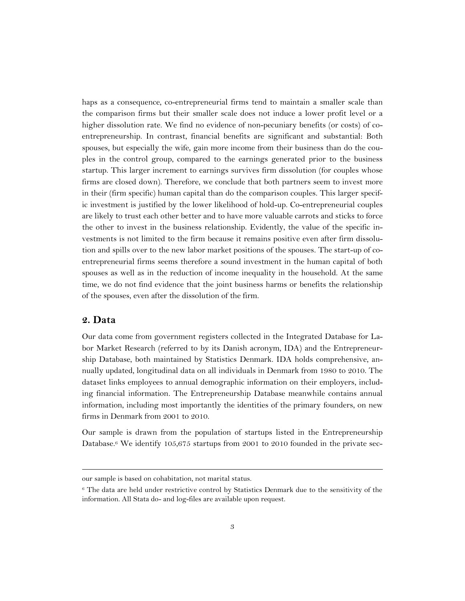haps as a consequence, co-entrepreneurial firms tend to maintain a smaller scale than the comparison firms but their smaller scale does not induce a lower profit level or a higher dissolution rate. We find no evidence of non-pecuniary benefits (or costs) of coentrepreneurship. In contrast, financial benefits are significant and substantial: Both spouses, but especially the wife, gain more income from their business than do the couples in the control group, compared to the earnings generated prior to the business startup. This larger increment to earnings survives firm dissolution (for couples whose firms are closed down). Therefore, we conclude that both partners seem to invest more in their (firm specific) human capital than do the comparison couples. This larger specific investment is justified by the lower likelihood of hold-up. Co-entrepreneurial couples are likely to trust each other better and to have more valuable carrots and sticks to force the other to invest in the business relationship. Evidently, the value of the specific investments is not limited to the firm because it remains positive even after firm dissolution and spills over to the new labor market positions of the spouses. The start-up of coentrepreneurial firms seems therefore a sound investment in the human capital of both spouses as well as in the reduction of income inequality in the household. At the same time, we do not find evidence that the joint business harms or benefits the relationship of the spouses, even after the dissolution of the firm.

#### **2. Data**

 $\ddot{\phantom{a}}$ 

Our data come from government registers collected in the Integrated Database for Labor Market Research (referred to by its Danish acronym, IDA) and the Entrepreneurship Database, both maintained by Statistics Denmark. IDA holds comprehensive, annually updated, longitudinal data on all individuals in Denmark from 1980 to 2010. The dataset links employees to annual demographic information on their employers, including financial information. The Entrepreneurship Database meanwhile contains annual information, including most importantly the identities of the primary founders, on new firms in Denmark from 2001 to 2010.

Our sample is drawn from the population of startups listed in the Entrepreneurship Database.<sup>6</sup> We identify 105,675 startups from 2001 to 2010 founded in the private sec-

our sample is based on cohabitation, not marital status.

<sup>6</sup> The data are held under restrictive control by Statistics Denmark due to the sensitivity of the information. All Stata do- and log-files are available upon request.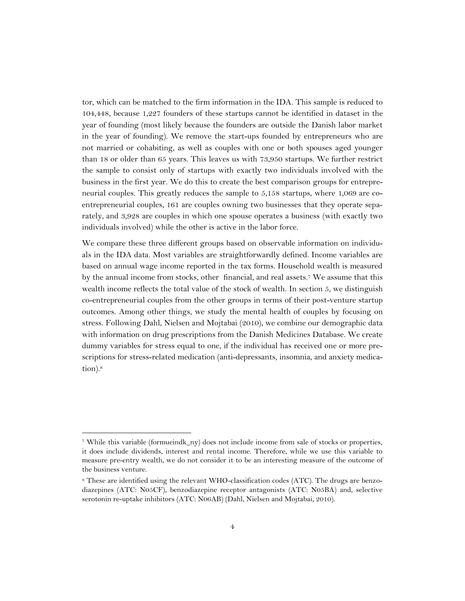tor, which can be matched to the firm information in the IDA. This sample is reduced to 104,448, because 1,227 founders of these startups cannot be identified in dataset in the year of founding (most likely because the founders are outside the Danish labor market in the year of founding). We remove the start-ups founded by entrepreneurs who are not married or cohabiting, as well as couples with one or both spouses aged younger than 18 or older than 65 years. This leaves us with 73,950 startups. We further restrict the sample to consist only of startups with exactly two individuals involved with the business in the first year. We do this to create the best comparison groups for entrepreneurial couples. This greatly reduces the sample to 5,158 startups, where 1,069 are coentrepreneurial couples, 161 are couples owning two businesses that they operate separately, and 3,928 are couples in which one spouse operates a business (with exactly two individuals involved) while the other is active in the labor force.

We compare these three different groups based on observable information on individuals in the IDA data. Most variables are straightforwardly defined. Income variables are based on annual wage income reported in the tax forms. Household wealth is measured by the annual income from stocks, other financial, and real assets.<sup>7</sup> We assume that this wealth income reflects the total value of the stock of wealth. In section 5, we distinguish co-entrepreneurial couples from the other groups in terms of their post-venture startup outcomes. Among other things, we study the mental health of couples by focusing on stress. Following Dahl, Nielsen and Mojtabai (2010), we combine our demographic data with information on drug prescriptions from the Danish Medicines Database. We create dummy variables for stress equal to one, if the individual has received one or more prescriptions for stress-related medication (anti-depressants, insomnia, and anxiety medication). 8

 $\ddot{\phantom{a}}$ 

<sup>7</sup> While this variable (formueindk\_ny) does not include income from sale of stocks or properties, it does include dividends, interest and rental income. Therefore, while we use this variable to measure pre-entry wealth, we do not consider it to be an interesting measure of the outcome of the business venture.

<sup>8</sup> These are identified using the relevant WHO-classification codes (ATC). The drugs are benzodiazepines (ATC: N05CF), benzodiazepine receptor antagonists (ATC: N05BA) and, selective serotonin re-uptake inhibitors (ATC: N06AB) (Dahl, Nielsen and Mojtabai, 2010).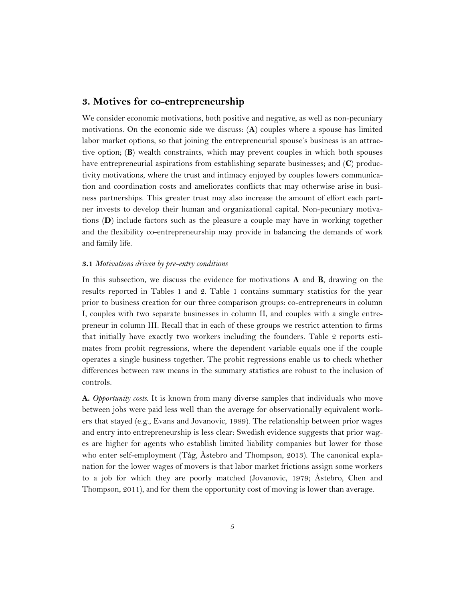#### **3. Motives for co-entrepreneurship**

We consider economic motivations, both positive and negative, as well as non-pecuniary motivations. On the economic side we discuss: (**A**) couples where a spouse has limited labor market options, so that joining the entrepreneurial spouse's business is an attractive option; (**B**) wealth constraints, which may prevent couples in which both spouses have entrepreneurial aspirations from establishing separate businesses; and (**C**) productivity motivations, where the trust and intimacy enjoyed by couples lowers communication and coordination costs and ameliorates conflicts that may otherwise arise in business partnerships. This greater trust may also increase the amount of effort each partner invests to develop their human and organizational capital. Non-pecuniary motivations (**D**) include factors such as the pleasure a couple may have in working together and the flexibility co-entrepreneurship may provide in balancing the demands of work and family life.

#### **3.1** *Motivations driven by pre-entry conditions*

In this subsection, we discuss the evidence for motivations **A** and **B**, drawing on the results reported in Tables 1 and 2. Table 1 contains summary statistics for the year prior to business creation for our three comparison groups: co-entrepreneurs in column I, couples with two separate businesses in column II, and couples with a single entrepreneur in column III. Recall that in each of these groups we restrict attention to firms that initially have exactly two workers including the founders. Table 2 reports estimates from probit regressions, where the dependent variable equals one if the couple operates a single business together. The probit regressions enable us to check whether differences between raw means in the summary statistics are robust to the inclusion of controls.

**A.** *Opportunity costs*. It is known from many diverse samples that individuals who move between jobs were paid less well than the average for observationally equivalent workers that stayed (e.g., Evans and Jovanovic, 1989). The relationship between prior wages and entry into entrepreneurship is less clear: Swedish evidence suggests that prior wages are higher for agents who establish limited liability companies but lower for those who enter self-employment (Tåg, Åstebro and Thompson, 2013). The canonical explanation for the lower wages of movers is that labor market frictions assign some workers to a job for which they are poorly matched (Jovanovic, 1979; Åstebro, Chen and Thompson, 2011), and for them the opportunity cost of moving is lower than average.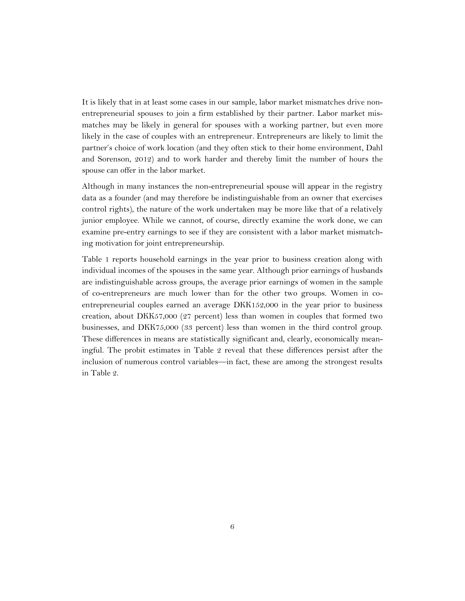It is likely that in at least some cases in our sample, labor market mismatches drive nonentrepreneurial spouses to join a firm established by their partner. Labor market mismatches may be likely in general for spouses with a working partner, but even more likely in the case of couples with an entrepreneur. Entrepreneurs are likely to limit the partner's choice of work location (and they often stick to their home environment, Dahl and Sorenson, 2012) and to work harder and thereby limit the number of hours the spouse can offer in the labor market.

Although in many instances the non-entrepreneurial spouse will appear in the registry data as a founder (and may therefore be indistinguishable from an owner that exercises control rights), the nature of the work undertaken may be more like that of a relatively junior employee. While we cannot, of course, directly examine the work done, we can examine pre-entry earnings to see if they are consistent with a labor market mismatching motivation for joint entrepreneurship.

Table 1 reports household earnings in the year prior to business creation along with individual incomes of the spouses in the same year. Although prior earnings of husbands are indistinguishable across groups, the average prior earnings of women in the sample of co-entrepreneurs are much lower than for the other two groups. Women in coentrepreneurial couples earned an average DKK152,000 in the year prior to business creation, about DKK57,000 (27 percent) less than women in couples that formed two businesses, and DKK75,000 (33 percent) less than women in the third control group. These differences in means are statistically significant and, clearly, economically meaningful. The probit estimates in Table 2 reveal that these differences persist after the inclusion of numerous control variables—in fact, these are among the strongest results in Table 2.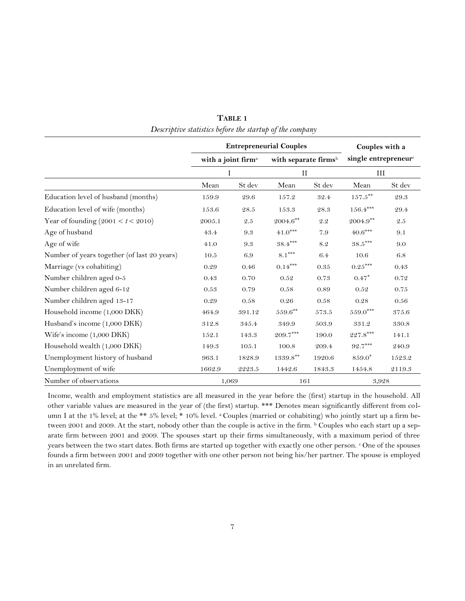|                                             |                                     | <b>Entrepreneurial Couples</b> | Couples with a<br>single entrepreneur <sup>c</sup><br>III |         |                                                  |         |
|---------------------------------------------|-------------------------------------|--------------------------------|-----------------------------------------------------------|---------|--------------------------------------------------|---------|
|                                             | with a joint firm <sup>a</sup><br>I |                                |                                                           |         | with separate firms <sup>b</sup><br>$\mathbf{I}$ |         |
|                                             |                                     |                                |                                                           |         |                                                  |         |
|                                             | Mean                                | St dev                         | Mean                                                      | St dev  | Mean                                             | St dev  |
| Education level of husband (months)         | 159.9                               | 29.6                           | 157.2                                                     | 32.4    | $157.5^{\ast\ast}$                               | 29.3    |
| Education level of wife (months)            | 153.6                               | 28.5                           | 153.3                                                     | 28.3    | $156.4***$                                       | 29.4    |
| Year of founding $(2001 < t < 2010)$        | 2005.1                              | 2.5                            | $2004.6^{\ast\ast}$                                       | $2.2\,$ | $2004.9***$                                      | $2.5\,$ |
| Age of husband                              | 43.4                                | 9.3                            | $41.0***$                                                 | 7.9     | $40.6^{\ast\ast\ast}$                            | 9.1     |
| Age of wife                                 | 41.0                                | 9.3                            | $38.4***$                                                 | 8.2     | $38.5***$                                        | 9.0     |
| Number of years together (of last 20 years) | 10.5                                | 6.9                            | $8.1***$                                                  | 6.4     | 10.6                                             | 6.8     |
| Marriage (vs cohabiting)                    | 0.29                                | 0.46                           | $0.14***$                                                 | 0.35    | $0.25^{\ast\ast\ast}$                            | 0.43    |
| Number children aged 0-5                    | 0.43                                | 0.70                           | 0.52                                                      | 0.73    | $0.47*$                                          | 0.72    |
| Number children aged 6-12                   | 0.53                                | 0.79                           | 0.58                                                      | 0.89    | 0.52                                             | 0.75    |
| Number children aged 13-17                  | 0.29                                | 0.58                           | 0.26                                                      | 0.58    | 0.28                                             | 0.56    |
| Household income (1,000 DKK)                | 464.9                               | 391.12                         | $559.6^{\ast\ast}$                                        | 573.5   | $559.0^\mathrm{***}$                             | 375.6   |
| Husband's income (1,000 DKK)                | 312.8                               | 345.4                          | 349.9                                                     | 503.9   | 331.2                                            | 330.8   |
| Wife's income (1,000 DKK)                   | 152.1                               | 143.3                          | $209.7^{\ast\ast\ast}$                                    | 190.0   | $227.8^{\ast\ast\ast}$                           | 141.1   |
| Household wealth (1,000 DKK)                | 149.3                               | 105.1                          | 100.8                                                     | 209.4   | $92.7***$                                        | 240.9   |
| Unemployment history of husband             | 963.1                               | 1828.9                         | $1339.8***$                                               | 1920.6  | 859.0 <sup>*</sup>                               | 1523.2  |
| Unemployment of wife                        | 1662.9                              | 2223.5                         | 1442.6                                                    | 1843.3  | 1454.8                                           | 2119.3  |
| Number of observations                      |                                     | 1,069                          | 161                                                       |         | 3,928                                            |         |

**TABLE 1** *Descriptive statistics before the startup of the company*

Income, wealth and employment statistics are all measured in the year before the (first) startup in the household. All other variable values are measured in the year of (the first) startup. \*\*\* Denotes mean significantly different from column I at the 1% level; at the \*\* 5% level; \* 10% level. <sup>a</sup> Couples (married or cohabiting) who jointly start up a firm between 2001 and 2009. At the start, nobody other than the couple is active in the firm. b Couples who each start up a separate firm between 2001 and 2009. The spouses start up their firms simultaneously, with a maximum period of three years between the two start dates. Both firms are started up together with exactly one other person. COne of the spouses founds a firm between 2001 and 2009 together with one other person not being his/her partner. The spouse is employed in an unrelated firm.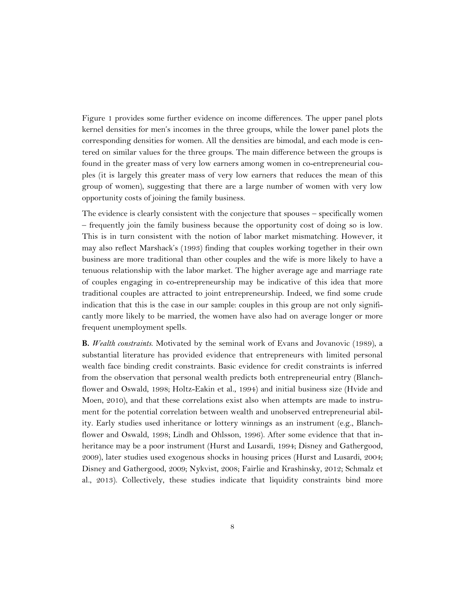Figure 1 provides some further evidence on income differences. The upper panel plots kernel densities for men's incomes in the three groups, while the lower panel plots the corresponding densities for women. All the densities are bimodal, and each mode is centered on similar values for the three groups. The main difference between the groups is found in the greater mass of very low earners among women in co-entrepreneurial couples (it is largely this greater mass of very low earners that reduces the mean of this group of women), suggesting that there are a large number of women with very low opportunity costs of joining the family business.

The evidence is clearly consistent with the conjecture that spouses – specifically women – frequently join the family business because the opportunity cost of doing so is low. This is in turn consistent with the notion of labor market mismatching. However, it may also reflect Marshack's (1993) finding that couples working together in their own business are more traditional than other couples and the wife is more likely to have a tenuous relationship with the labor market. The higher average age and marriage rate of couples engaging in co-entrepreneurship may be indicative of this idea that more traditional couples are attracted to joint entrepreneurship. Indeed, we find some crude indication that this is the case in our sample: couples in this group are not only significantly more likely to be married, the women have also had on average longer or more frequent unemployment spells.

**B.** *Wealth constraints*. Motivated by the seminal work of Evans and Jovanovic (1989), a substantial literature has provided evidence that entrepreneurs with limited personal wealth face binding credit constraints. Basic evidence for credit constraints is inferred from the observation that personal wealth predicts both entrepreneurial entry (Blanchflower and Oswald, 1998; Holtz-Eakin et al., 1994) and initial business size (Hvide and Moen, 2010), and that these correlations exist also when attempts are made to instrument for the potential correlation between wealth and unobserved entrepreneurial ability. Early studies used inheritance or lottery winnings as an instrument (e.g., Blanchflower and Oswald, 1998; Lindh and Ohlsson, 1996). After some evidence that that inheritance may be a poor instrument (Hurst and Lusardi, 1994; Disney and Gathergood, 2009), later studies used exogenous shocks in housing prices (Hurst and Lusardi, 2004; Disney and Gathergood, 2009; Nykvist, 2008; Fairlie and Krashinsky, 2012; Schmalz et al., 2013). Collectively, these studies indicate that liquidity constraints bind more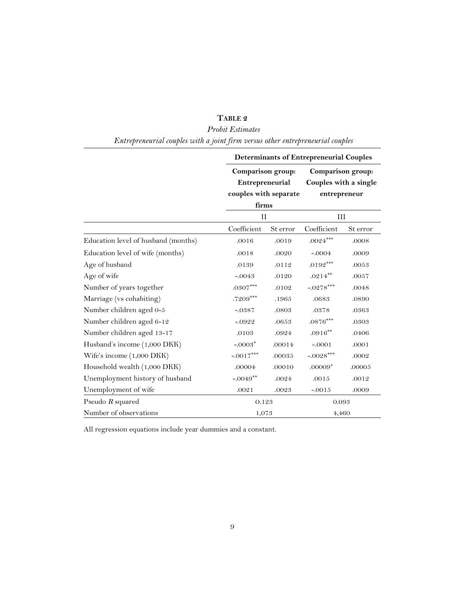|                                     | <b>Determinants of Entrepreneurial Couples</b> |          |                                                            |           |  |  |  |  |
|-------------------------------------|------------------------------------------------|----------|------------------------------------------------------------|-----------|--|--|--|--|
|                                     | Comparison group:                              |          | Comparison group:<br>Couples with a single<br>entrepreneur |           |  |  |  |  |
|                                     | Entrepreneurial                                |          |                                                            |           |  |  |  |  |
|                                     | couples with separate                          |          |                                                            |           |  |  |  |  |
|                                     | firms                                          |          |                                                            |           |  |  |  |  |
|                                     | $_{II}$                                        |          | III                                                        |           |  |  |  |  |
|                                     | Coefficient                                    | St error | Coefficient                                                | St error  |  |  |  |  |
| Education level of husband (months) | .0016                                          | .0019    | $.0024***$                                                 | .0008     |  |  |  |  |
| Education level of wife (months)    | .0018                                          | .0020    | $-.0004$                                                   | .0009     |  |  |  |  |
| Age of husband                      | .0139                                          | .0112    | $.0192***$                                                 | $.0053\,$ |  |  |  |  |
| Age of wife                         | $-.0043$                                       | .0120    | $.0214***$                                                 | .0057     |  |  |  |  |
| Number of years together            | $.0307***$                                     | .0102    | $-.0278***$                                                | .0048     |  |  |  |  |
| Marriage (vs cohabiting)            | .7209***                                       | .1965    | .0683                                                      | .0890     |  |  |  |  |
| Number children aged 0-5            | $-.0387$                                       | .0803    | $.0378\,$                                                  | .0363     |  |  |  |  |
| Number children aged 6-12           | $-.0922$                                       | .0653    | $.0876***$                                                 | .0303     |  |  |  |  |
| Number children aged 13-17          | .0103                                          | .0924    | $.0916***$                                                 | .0406     |  |  |  |  |
| Husband's income (1,000 DKK)        | $-.0003*$                                      | .00014   | $-.0001$                                                   | .0001     |  |  |  |  |
| Wife's income (1,000 DKK)           | $-.0017***$                                    | .00035   | $-.0028***$                                                | .0002     |  |  |  |  |
| Household wealth (1,000 DKK)        | .00004                                         | .00010   | $.00009*$                                                  | .00005    |  |  |  |  |
| Unemployment history of husband     | $-.0049**$                                     | .0024    | .0015                                                      | .0012     |  |  |  |  |
| Unemployment of wife                | .0021                                          | .0023    | $-.0015$                                                   | .0009     |  |  |  |  |
| Pseudo $R$ squared                  | 0.123                                          |          | $\,0.093\,$                                                |           |  |  |  |  |
| Number of observations              | 1,073<br>4,460                                 |          |                                                            |           |  |  |  |  |

#### **TABLE 2**

#### *Probit Estimates*

*Entrepreneurial couples with a joint firm versus other entrepreneurial couples*

All regression equations include year dummies and a constant.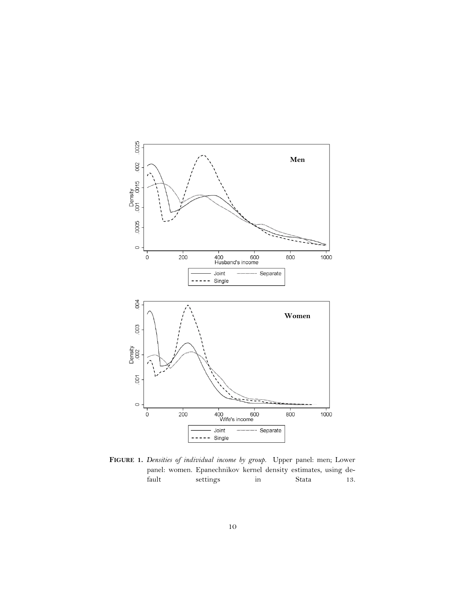

**FIGURE 1.** *Densities of individual income by group.* Upper panel: men; Lower panel: women. Epanechnikov kernel density estimates, using default settings in Stata 13.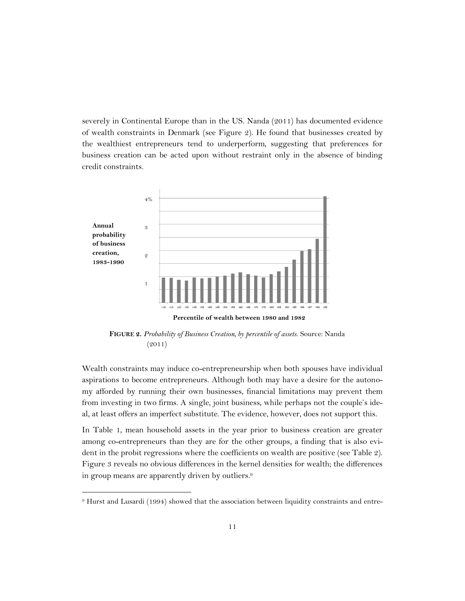severely in Continental Europe than in the US. Nanda (2011) has documented evidence of wealth constraints in Denmark (see Figure 2). He found that businesses created by the wealthiest entrepreneurs tend to underperform, suggesting that preferences for business creation can be acted upon without restraint only in the absence of binding credit constraints.



**FIGURE 2.** *Probability of Business Creation, by percentile of assets.* Source: Nanda (2011)

Wealth constraints may induce co-entrepreneurship when both spouses have individual aspirations to become entrepreneurs. Although both may have a desire for the autonomy afforded by running their own businesses, financial limitations may prevent them from investing in two firms. A single, joint business, while perhaps not the couple's ideal, at least offers an imperfect substitute. The evidence, however, does not support this.

In Table 1, mean household assets in the year prior to business creation are greater among co-entrepreneurs than they are for the other groups, a finding that is also evident in the probit regressions where the coefficients on wealth are positive (see Table 2). Figure 3 reveals no obvious differences in the kernel densities for wealth; the differences in group means are apparently driven by outliers.<sup>9</sup>

 $\ddot{\phantom{a}}$ 

<sup>9</sup> Hurst and Lusardi (1994) showed that the association between liquidity constraints and entre-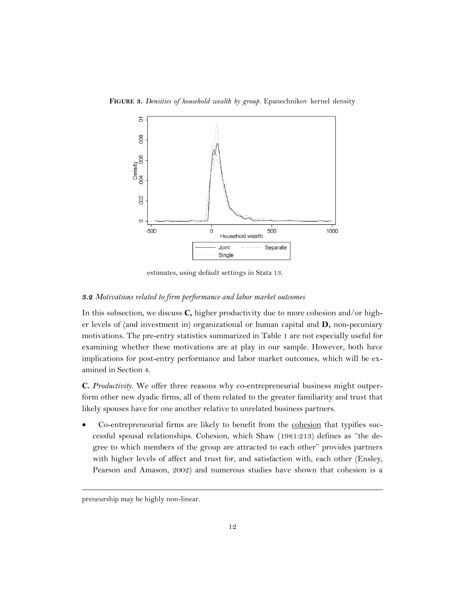**FIGURE 3.** *Densities of household wealth by group.* Epanechnikov kernel density



estimates, using default settings in Stata 13.

#### **3.2** *Motivations related to firm performance and labor market outcomes*

In this subsection, we discuss **C,** higher productivity due to more cohesion and/or higher levels of (and investment in) organizational or human capital and **D,** non-pecuniary motivations. The pre-entry statistics summarized in Table 1 are not especially useful for examining whether these motivations are at play in our sample. However, both have implications for post-entry performance and labor market outcomes, which will be examined in Section 4.

**C.** *Productivity*. We offer three reasons why co-entrepreneurial business might outperform other new dyadic firms, all of them related to the greater familiarity and trust that likely spouses have for one another relative to unrelated business partners.

 Co-entrepreneurial firms are likely to benefit from the cohesion that typifies successful spousal relationships. Cohesion, which Shaw (1981:213) defines as ''the degree to which members of the group are attracted to each other'' provides partners with higher levels of affect and trust for, and satisfaction with, each other (Ensley, Pearson and Amason, 2002) and numerous studies have shown that cohesion is a

 $\ddot{\phantom{a}}$ 

preneurship may be highly non-linear.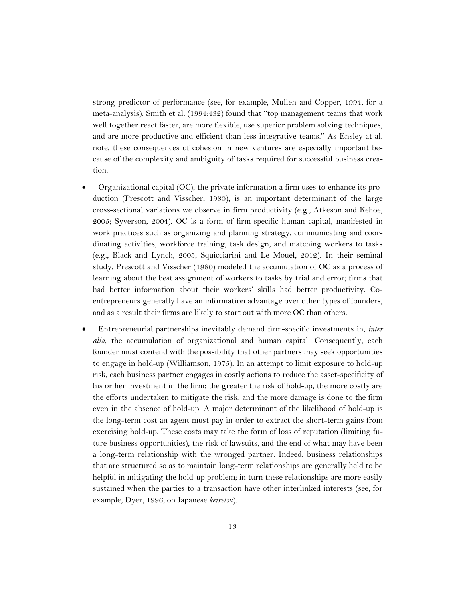strong predictor of performance (see, for example, Mullen and Copper, 1994, for a meta-analysis). Smith et al. (1994:432) found that ''top management teams that work well together react faster, are more flexible, use superior problem solving techniques, and are more productive and efficient than less integrative teams.'' As Ensley at al. note, these consequences of cohesion in new ventures are especially important because of the complexity and ambiguity of tasks required for successful business creation.

- Organizational capital (OC), the private information a firm uses to enhance its production (Prescott and Visscher, 1980), is an important determinant of the large cross-sectional variations we observe in firm productivity (e.g., Atkeson and Kehoe, 2005; Syverson, 2004). OC is a form of firm-specific human capital, manifested in work practices such as organizing and planning strategy, communicating and coordinating activities, workforce training, task design, and matching workers to tasks (e.g., Black and Lynch, 2005, Squicciarini and Le Mouel, 2012). In their seminal study, Prescott and Visscher (1980) modeled the accumulation of OC as a process of learning about the best assignment of workers to tasks by trial and error; firms that had better information about their workers' skills had better productivity. Coentrepreneurs generally have an information advantage over other types of founders, and as a result their firms are likely to start out with more OC than others.
- Entrepreneurial partnerships inevitably demand firm-specific investments in, *inter alia*, the accumulation of organizational and human capital. Consequently, each founder must contend with the possibility that other partners may seek opportunities to engage in hold-up (Williamson, 1975). In an attempt to limit exposure to hold-up risk, each business partner engages in costly actions to reduce the asset-specificity of his or her investment in the firm; the greater the risk of hold-up, the more costly are the efforts undertaken to mitigate the risk, and the more damage is done to the firm even in the absence of hold-up. A major determinant of the likelihood of hold-up is the long-term cost an agent must pay in order to extract the short-term gains from exercising hold-up. These costs may take the form of loss of reputation (limiting future business opportunities), the risk of lawsuits, and the end of what may have been a long-term relationship with the wronged partner. Indeed, business relationships that are structured so as to maintain long-term relationships are generally held to be helpful in mitigating the hold-up problem; in turn these relationships are more easily sustained when the parties to a transaction have other interlinked interests (see, for example, Dyer, 1996, on Japanese *keiretsu*).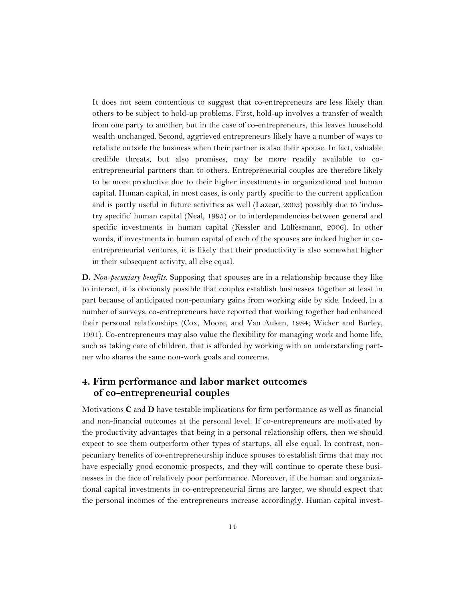It does not seem contentious to suggest that co-entrepreneurs are less likely than others to be subject to hold-up problems. First, hold-up involves a transfer of wealth from one party to another, but in the case of co-entrepreneurs, this leaves household wealth unchanged. Second, aggrieved entrepreneurs likely have a number of ways to retaliate outside the business when their partner is also their spouse. In fact, valuable credible threats, but also promises, may be more readily available to coentrepreneurial partners than to others. Entrepreneurial couples are therefore likely to be more productive due to their higher investments in organizational and human capital. Human capital, in most cases, is only partly specific to the current application and is partly useful in future activities as well (Lazear, 2003) possibly due to 'industry specific' human capital (Neal, 1995) or to interdependencies between general and specific investments in human capital (Kessler and Lülfesmann, 2006). In other words, if investments in human capital of each of the spouses are indeed higher in coentrepreneurial ventures, it is likely that their productivity is also somewhat higher in their subsequent activity, all else equal.

**D.** *Non-pecuniary benefits*. Supposing that spouses are in a relationship because they like to interact, it is obviously possible that couples establish businesses together at least in part because of anticipated non-pecuniary gains from working side by side. Indeed, in a number of surveys, co-entrepreneurs have reported that working together had enhanced their personal relationships (Cox, Moore, and Van Auken, 1984; Wicker and Burley, 1991). Co-entrepreneurs may also value the flexibility for managing work and home life, such as taking care of children, that is afforded by working with an understanding partner who shares the same non-work goals and concerns.

#### **4. Firm performance and labor market outcomes of co-entrepreneurial couples**

Motivations **C** and **D** have testable implications for firm performance as well as financial and non-financial outcomes at the personal level. If co-entrepreneurs are motivated by the productivity advantages that being in a personal relationship offers, then we should expect to see them outperform other types of startups, all else equal. In contrast, nonpecuniary benefits of co-entrepreneurship induce spouses to establish firms that may not have especially good economic prospects, and they will continue to operate these businesses in the face of relatively poor performance. Moreover, if the human and organizational capital investments in co-entrepreneurial firms are larger, we should expect that the personal incomes of the entrepreneurs increase accordingly. Human capital invest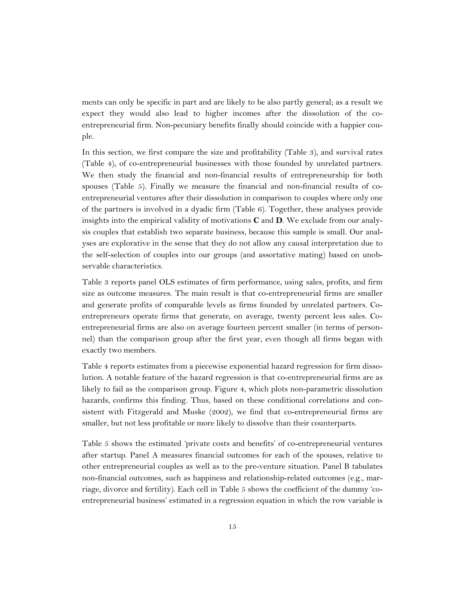ments can only be specific in part and are likely to be also partly general; as a result we expect they would also lead to higher incomes after the dissolution of the coentrepreneurial firm. Non-pecuniary benefits finally should coincide with a happier couple.

In this section, we first compare the size and profitability (Table 3), and survival rates (Table 4), of co-entrepreneurial businesses with those founded by unrelated partners. We then study the financial and non-financial results of entrepreneurship for both spouses (Table 5). Finally we measure the financial and non-financial results of coentrepreneurial ventures after their dissolution in comparison to couples where only one of the partners is involved in a dyadic firm (Table 6). Together, these analyses provide insights into the empirical validity of motivations **C** and **D**. We exclude from our analysis couples that establish two separate business, because this sample is small. Our analyses are explorative in the sense that they do not allow any causal interpretation due to the self-selection of couples into our groups (and assortative mating) based on unobservable characteristics.

Table 3 reports panel OLS estimates of firm performance, using sales, profits, and firm size as outcome measures. The main result is that co-entrepreneurial firms are smaller and generate profits of comparable levels as firms founded by unrelated partners. Coentrepreneurs operate firms that generate, on average, twenty percent less sales. Coentrepreneurial firms are also on average fourteen percent smaller (in terms of personnel) than the comparison group after the first year, even though all firms began with exactly two members.

Table 4 reports estimates from a piecewise exponential hazard regression for firm dissolution. A notable feature of the hazard regression is that co-entrepreneurial firms are as likely to fail as the comparison group. Figure 4, which plots non-parametric dissolution hazards, confirms this finding. Thus, based on these conditional correlations and consistent with Fitzgerald and Muske (2002), we find that co-entrepreneurial firms are smaller, but not less profitable or more likely to dissolve than their counterparts.

Table 5 shows the estimated 'private costs and benefits' of co-entrepreneurial ventures after startup. Panel A measures financial outcomes for each of the spouses, relative to other entrepreneurial couples as well as to the pre-venture situation. Panel B tabulates non-financial outcomes, such as happiness and relationship-related outcomes (e.g., marriage, divorce and fertility). Each cell in Table 5 shows the coefficient of the dummy 'coentrepreneurial business' estimated in a regression equation in which the row variable is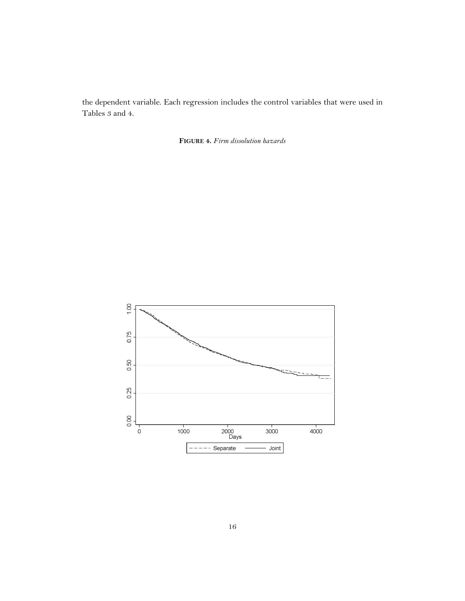the dependent variable. Each regression includes the control variables that were used in Tables 3 and 4.

**FIGURE 4.** *Firm dissolution hazards*

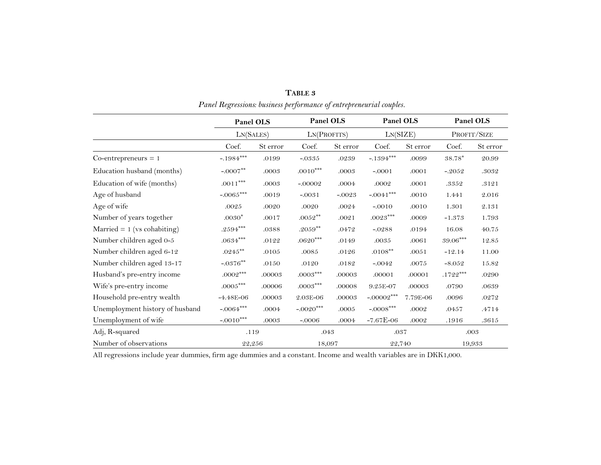|                                 | Panel OLS              |          |                 | Panel OLS |              | Panel OLS | Panel OLS<br>PROFIT/SIZE |          |
|---------------------------------|------------------------|----------|-----------------|-----------|--------------|-----------|--------------------------|----------|
|                                 | LN(SALES)              |          | LN(PROFITS)     |           | LN(SIZE)     |           |                          |          |
|                                 | Coef.                  | St error | Coef.           | St error  | Coef.        | St error  | Coef.                    | St error |
| $Co-entropy = 1$                | $-.1984***$            | .0199    | $-.0335$        | .0239     | $-.1394***$  | .0099     | $38.78^\ast$             | 20.99    |
| Education husband (months)      | $-.0007**$             | .0003    | $.0010***$      | .0003     | $-.0001$     | .0001     | $-.2052$                 | .3032    |
| Education of wife (months)      | $.0011***$             | .0003    | $-.00002$       | .0004     | .0002        | .0001     | .3352                    | .3121    |
| Age of husband                  | -.0065***              | .0019    | $-.0031$        | $-.0023$  | $-.0041$ *** | .0010     | 1.441                    | 2.016    |
| Age of wife                     | .0025                  | .0020    | .0020           | .0024     | $-.0010$     | .0010     | 1.301                    | 2.131    |
| Number of years together        | $.0030*$               | .0017    | $.0052^{**}$    | .0021     | $.0023***$   | .0009     | $-1.373$                 | 1.793    |
| Married $= 1$ (vs cohabiting)   | $.2594^{\ast\ast\ast}$ | .0388    | $.2059^{**}$    | .0472     | $-.0288$     | .0194     | 16.08                    | 40.75    |
| Number children aged 0-5        | $.0634^{***}\,$        | .0122    | $.0620^{***}\,$ | .0149     | $.0035\,$    | .0061     | $\textbf{39.06}^{***}$   | 12.85    |
| Number children aged 6-12       | $.0245^{\ast\ast}$     | .0105    | .0085           | .0126     | $.0108***$   | .0051     | $-12.14$                 | 11.00    |
| Number children aged 13-17      | $-0376^{**}$           | .0150    | .0120           | .0182     | $-.0042$     | .0075     | $-8.052$                 | 15.82    |
| Husband's pre-entry income      | $.0002^{***}$          | .00003   | $.0003***$      | .00003    | .00001       | .00001    | $.1722^{\ast\ast\ast}$   | .0290    |
| Wife's pre-entry income         | $.0005^{***}$          | .00006   | $.0003***$      | .00008    | 9.25E-07     | .00003    | .0790                    | .0639    |
| Household pre-entry wealth      | $-4.48E - 06$          | .00003   | 2.03E-06        | .00003    | $-.00002***$ | 7.79E-06  | .0096                    | .0272    |
| Unemployment history of husband | $-.0064***$            | .0004    | $-.0020***$     | .0005     | $-.0008***$  | .0002     | .0457                    | .4714    |
| Unemployment of wife            | $-.0010***$            | .0003    | $-.0006$        | .0004     | $-7.67E-06$  | .0002     | .1916                    | .3615    |
| Adj, R-squared                  | .119                   |          | .043            |           | .037         |           |                          | .003     |
| Number of observations          | 22,256                 |          | 18,097          |           | 22,740       |           |                          | 19,933   |

**TABLE 3** *Panel Regressions: business performance of entrepreneurial couples.*

All regressions include year dummies, firm age dummies and a constant. Income and wealth variables are in DKK1,000.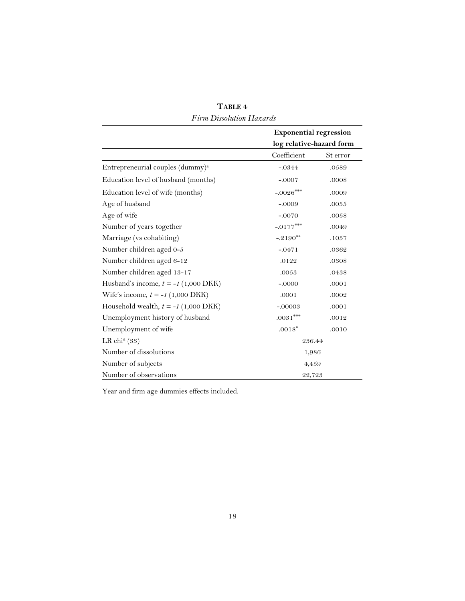|                                               | <b>Exponential regression</b> |          |  |  |  |
|-----------------------------------------------|-------------------------------|----------|--|--|--|
|                                               | log relative-hazard form      |          |  |  |  |
|                                               | Coefficient                   | St error |  |  |  |
| Entrepreneurial couples (dummy) <sup>a</sup>  | $-0.0344$                     | .0589    |  |  |  |
| Education level of husband (months)           | $-.0007$                      | .0008    |  |  |  |
| Education level of wife (months)              | $-.0026***$                   | .0009    |  |  |  |
| Age of husband                                | $-.0009$                      | .0055    |  |  |  |
| Age of wife                                   | $-.0070$                      | .0058    |  |  |  |
| Number of years together                      | $-.0177***$                   | .0049    |  |  |  |
| Marriage (vs cohabiting)                      | $-.2190**$                    | .1057    |  |  |  |
| Number children aged 0-5                      | $-0471$                       | .0362    |  |  |  |
| Number children aged 6-12                     | .0122                         | .0308    |  |  |  |
| Number children aged 13-17                    | .0053                         | .0438    |  |  |  |
| Husband's income, $t = -I(1,000 \text{ DKK})$ | $-.0000$                      | .0001    |  |  |  |
| Wife's income, $t = -I(1,000 \text{ DKK})$    | .0001                         | .0002    |  |  |  |
| Household wealth, $t = -I(1,000 \text{DKK})$  | $-.00003$                     | .0001    |  |  |  |
| Unemployment history of husband               | $.0031***$                    | .0012    |  |  |  |
| Unemployment of wife                          | $.0018*$                      | .0010    |  |  |  |
| LR chi <sup>2</sup> (33)                      | 236.44                        |          |  |  |  |
| Number of dissolutions                        |                               | 1,986    |  |  |  |
| Number of subjects                            | 4,459                         |          |  |  |  |
| Number of observations                        | 22,723                        |          |  |  |  |

**TABLE 4** *Firm Dissolution Hazards*

Year and firm age dummies effects included.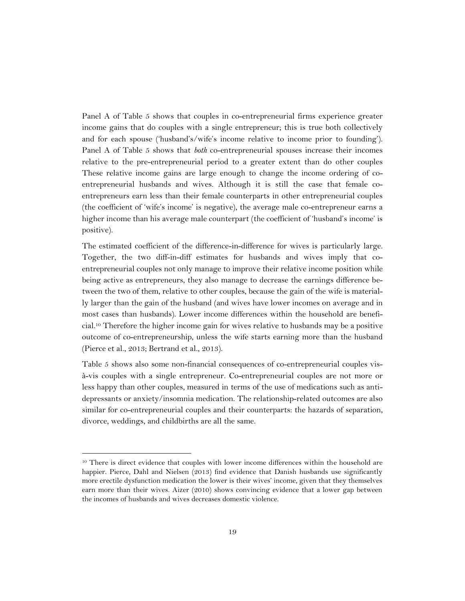Panel A of Table 5 shows that couples in co-entrepreneurial firms experience greater income gains that do couples with a single entrepreneur; this is true both collectively and for each spouse ('husband's/wife's income relative to income prior to founding'). Panel A of Table 5 shows that *both* co-entrepreneurial spouses increase their incomes relative to the pre-entrepreneurial period to a greater extent than do other couples These relative income gains are large enough to change the income ordering of coentrepreneurial husbands and wives. Although it is still the case that female coentrepreneurs earn less than their female counterparts in other entrepreneurial couples (the coefficient of 'wife's income' is negative), the average male co-entrepreneur earns a higher income than his average male counterpart (the coefficient of 'husband's income' is positive).

The estimated coefficient of the difference-in-difference for wives is particularly large. Together, the two diff-in-diff estimates for husbands and wives imply that coentrepreneurial couples not only manage to improve their relative income position while being active as entrepreneurs, they also manage to decrease the earnings difference between the two of them, relative to other couples, because the gain of the wife is materially larger than the gain of the husband (and wives have lower incomes on average and in most cases than husbands). Lower income differences within the household are beneficial.<sup>10</sup> Therefore the higher income gain for wives relative to husbands may be a positive outcome of co-entrepreneurship, unless the wife starts earning more than the husband (Pierce et al., 2013; Bertrand et al., 2013).

Table 5 shows also some non-financial consequences of co-entrepreneurial couples visà-vis couples with a single entrepreneur. Co-entrepreneurial couples are not more or less happy than other couples, measured in terms of the use of medications such as antidepressants or anxiety/insomnia medication. The relationship-related outcomes are also similar for co-entrepreneurial couples and their counterparts: the hazards of separation, divorce, weddings, and childbirths are all the same.

 $\ddot{\phantom{a}}$ 

<sup>&</sup>lt;sup>10</sup> There is direct evidence that couples with lower income differences within the household are happier. Pierce, Dahl and Nielsen (2013) find evidence that Danish husbands use significantly more erectile dysfunction medication the lower is their wives' income, given that they themselves earn more than their wives. Aizer (2010) shows convincing evidence that a lower gap between the incomes of husbands and wives decreases domestic violence.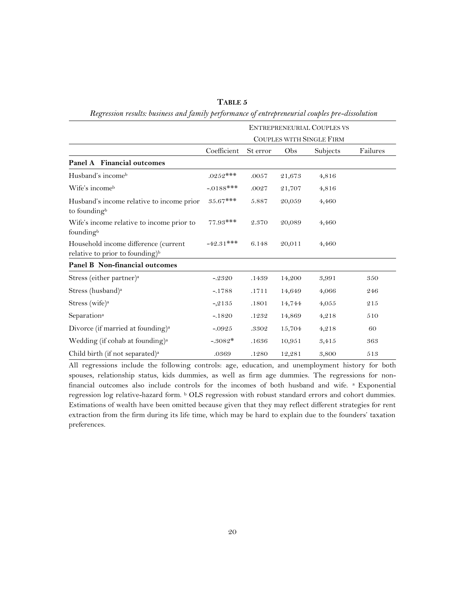|                                                                                     | <b>ENTREPRENEURIAL COUPLES VS</b> |          |        |          |          |  |  |
|-------------------------------------------------------------------------------------|-----------------------------------|----------|--------|----------|----------|--|--|
|                                                                                     | <b>COUPLES WITH SINGLE FIRM</b>   |          |        |          |          |  |  |
|                                                                                     | Coefficient                       | St error | Obs    | Subjects | Failures |  |  |
| Panel A Financial outcomes                                                          |                                   |          |        |          |          |  |  |
| Husband's income <sup>b</sup>                                                       | $.0252***$                        | .0057    | 21,673 | 4,816    |          |  |  |
| Wife's incomeb                                                                      | $-.0188$ ***                      | .0027    | 21,707 | 4,816    |          |  |  |
| Husband's income relative to income prior<br>to founding <sup>b</sup>               | $35.67***$                        | 5.887    | 20,059 | 4,460    |          |  |  |
| Wife's income relative to income prior to<br>founding <sup>b</sup>                  | $77.93***$                        | 2.370    | 20,089 | 4,460    |          |  |  |
| Household income difference (current<br>relative to prior to founding) <sup>b</sup> | $-42.31***$                       | 6.148    | 20,011 | 4,460    |          |  |  |
| Panel B Non-financial outcomes                                                      |                                   |          |        |          |          |  |  |
| Stress (either partner) <sup>a</sup>                                                | $-2320$                           | .1439    | 14,200 | 3,991    | 350      |  |  |
| Stress (husband) <sup>a</sup>                                                       | $-.1788$                          | .1711    | 14,649 | 4,066    | 246      |  |  |
| Stress (wife) <sup>a</sup>                                                          | $-2135$                           | .1801    | 14,744 | 4,055    | 215      |  |  |
| Separation <sup>a</sup>                                                             | $-1820$                           | .1232    | 14,869 | 4,218    | 510      |  |  |
| Divorce (if married at founding) <sup>a</sup>                                       | $-0.0925$                         | .3302    | 15,704 | 4,218    | 60       |  |  |
| Wedding (if cohab at founding) <sup>a</sup>                                         | $-.3082*$                         | .1636    | 10,951 | 3,415    | 363      |  |  |
| Child birth (if not separated) <sup>a</sup>                                         | .0369                             | .1280    | 12,281 | 3,800    | 513      |  |  |

**TABLE 5** *Regression results: business and family performance of entrepreneurial couples pre-dissolution*

All regressions include the following controls: age, education, and unemployment history for both spouses, relationship status, kids dummies, as well as firm age dummies. The regressions for nonfinancial outcomes also include controls for the incomes of both husband and wife. a Exponential regression log relative-hazard form. <sup>b</sup> OLS regression with robust standard errors and cohort dummies. Estimations of wealth have been omitted because given that they may reflect different strategies for rent extraction from the firm during its life time, which may be hard to explain due to the founders' taxation preferences.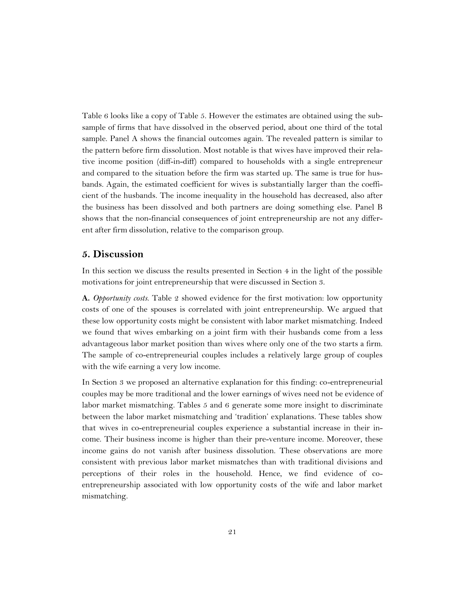Table 6 looks like a copy of Table 5. However the estimates are obtained using the subsample of firms that have dissolved in the observed period, about one third of the total sample. Panel A shows the financial outcomes again. The revealed pattern is similar to the pattern before firm dissolution. Most notable is that wives have improved their relative income position (diff-in-diff) compared to households with a single entrepreneur and compared to the situation before the firm was started up. The same is true for husbands. Again, the estimated coefficient for wives is substantially larger than the coefficient of the husbands. The income inequality in the household has decreased, also after the business has been dissolved and both partners are doing something else. Panel B shows that the non-financial consequences of joint entrepreneurship are not any different after firm dissolution, relative to the comparison group.

#### **5. Discussion**

In this section we discuss the results presented in Section 4 in the light of the possible motivations for joint entrepreneurship that were discussed in Section 3.

**A.** *Opportunity costs*. Table 2 showed evidence for the first motivation: low opportunity costs of one of the spouses is correlated with joint entrepreneurship. We argued that these low opportunity costs might be consistent with labor market mismatching. Indeed we found that wives embarking on a joint firm with their husbands come from a less advantageous labor market position than wives where only one of the two starts a firm. The sample of co-entrepreneurial couples includes a relatively large group of couples with the wife earning a very low income.

In Section 3 we proposed an alternative explanation for this finding: co-entrepreneurial couples may be more traditional and the lower earnings of wives need not be evidence of labor market mismatching. Tables 5 and 6 generate some more insight to discriminate between the labor market mismatching and 'tradition' explanations. These tables show that wives in co-entrepreneurial couples experience a substantial increase in their income. Their business income is higher than their pre-venture income. Moreover, these income gains do not vanish after business dissolution. These observations are more consistent with previous labor market mismatches than with traditional divisions and perceptions of their roles in the household. Hence, we find evidence of coentrepreneurship associated with low opportunity costs of the wife and labor market mismatching.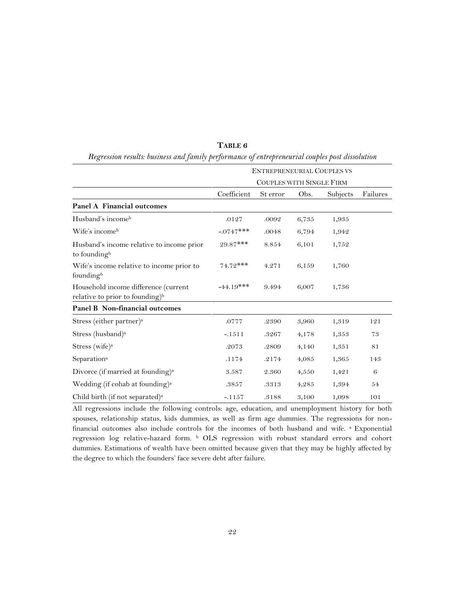|                                                                                     | <b>ENTREPRENEURIAL COUPLES VS</b> |          |       |          |          |  |  |  |
|-------------------------------------------------------------------------------------|-----------------------------------|----------|-------|----------|----------|--|--|--|
|                                                                                     | COUPLES WITH SINGLE FIRM          |          |       |          |          |  |  |  |
|                                                                                     | Coefficient                       | St error | Obs.  | Subjects | Failures |  |  |  |
| <b>Panel A Financial outcomes</b>                                                   |                                   |          |       |          |          |  |  |  |
| Husband's income <sup>b</sup>                                                       | .0127                             | .0092    | 6,735 | 1,935    |          |  |  |  |
| Wife's income <sup>b</sup>                                                          | $-.0747$ ***                      | .0048    | 6,794 | 1,942    |          |  |  |  |
| Husband's income relative to income prior<br>to founding <sup>b</sup>               | $29.87***$                        | 8.854    | 6,101 | 1,752    |          |  |  |  |
| Wife's income relative to income prior to<br>foundingb                              | $74.72***$                        | 4.271    | 6,159 | 1,760    |          |  |  |  |
| Household income difference (current<br>relative to prior to founding) <sup>b</sup> | $-44.19***$                       | 9.494    | 6,007 | 1,736    |          |  |  |  |
| Panel B Non-financial outcomes                                                      |                                   |          |       |          |          |  |  |  |
| Stress (either partner) <sup>a</sup>                                                | .0777                             | .2390    | 3,960 | 1,319    | 121      |  |  |  |
| Stress (husband) <sup>a</sup>                                                       | $-.1511$                          | .3267    | 4,178 | 1,353    | 73       |  |  |  |
| Stress (wife) <sup>a</sup>                                                          | .2073                             | .2809    | 4,140 | 1,351    | 81       |  |  |  |
| Separation <sup>a</sup>                                                             | .1174                             | .2174    | 4,085 | 1,365    | 143      |  |  |  |
| Divorce (if married at founding) <sup>a</sup>                                       | 3.587                             | 2.360    | 4,550 | 1,421    | 6        |  |  |  |
| Wedding (if cohab at founding) <sup>a</sup>                                         | .3857                             | .3313    | 4,285 | 1,394    | 54       |  |  |  |
| Child birth (if not separated) <sup>a</sup>                                         | $-.1157$                          | .3188    | 3,100 | 1,098    | 101      |  |  |  |

**TABLE 6** *Regression results: business and family performance of entrepreneurial couples post dissolution*

All regressions include the following controls: age, education, and unemployment history for both spouses, relationship status, kids dummies, as well as firm age dummies. The regressions for nonfinancial outcomes also include controls for the incomes of both husband and wife. a Exponential regression log relative-hazard form. <sup>b</sup> OLS regression with robust standard errors and cohort dummies. Estimations of wealth have been omitted because given that they may be highly affected by the degree to which the founders' face severe debt after failure.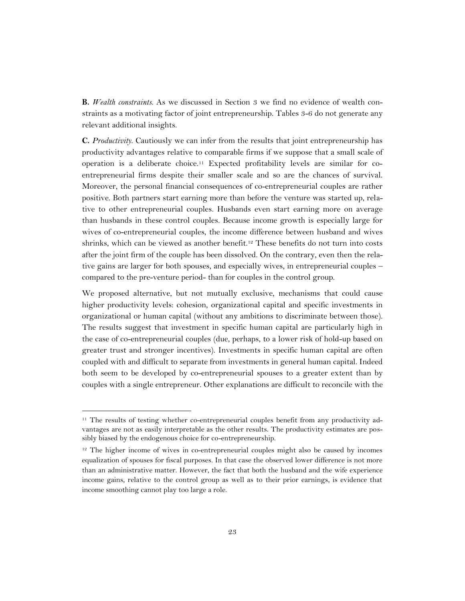**B.** *Wealth constraints*. As we discussed in Section 3 we find no evidence of wealth constraints as a motivating factor of joint entrepreneurship. Tables 3-6 do not generate any relevant additional insights.

**C.** *Productivity*. Cautiously we can infer from the results that joint entrepreneurship has productivity advantages relative to comparable firms if we suppose that a small scale of operation is a deliberate choice.<sup>11</sup> Expected profitability levels are similar for coentrepreneurial firms despite their smaller scale and so are the chances of survival. Moreover, the personal financial consequences of co-entrepreneurial couples are rather positive. Both partners start earning more than before the venture was started up, relative to other entrepreneurial couples. Husbands even start earning more on average than husbands in these control couples. Because income growth is especially large for wives of co-entrepreneurial couples, the income difference between husband and wives shrinks, which can be viewed as another benefit.<sup>12</sup> These benefits do not turn into costs after the joint firm of the couple has been dissolved. On the contrary, even then the relative gains are larger for both spouses, and especially wives, in entrepreneurial couples – compared to the pre-venture period- than for couples in the control group.

We proposed alternative, but not mutually exclusive, mechanisms that could cause higher productivity levels: cohesion, organizational capital and specific investments in organizational or human capital (without any ambitions to discriminate between those). The results suggest that investment in specific human capital are particularly high in the case of co-entrepreneurial couples (due, perhaps, to a lower risk of hold-up based on greater trust and stronger incentives). Investments in specific human capital are often coupled with and difficult to separate from investments in general human capital. Indeed both seem to be developed by co-entrepreneurial spouses to a greater extent than by couples with a single entrepreneur. Other explanations are difficult to reconcile with the

 $\overline{a}$ 

<sup>11</sup> The results of testing whether co-entrepreneurial couples benefit from any productivity advantages are not as easily interpretable as the other results. The productivity estimates are possibly biased by the endogenous choice for co-entrepreneurship.

 $12$  The higher income of wives in co-entrepreneurial couples might also be caused by incomes equalization of spouses for fiscal purposes. In that case the observed lower difference is not more than an administrative matter. However, the fact that both the husband and the wife experience income gains, relative to the control group as well as to their prior earnings, is evidence that income smoothing cannot play too large a role.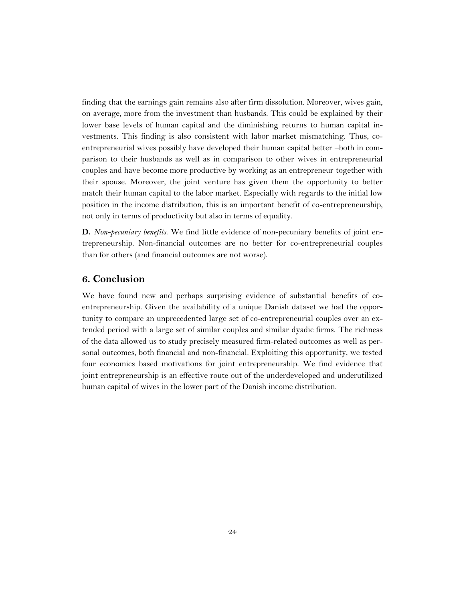finding that the earnings gain remains also after firm dissolution. Moreover, wives gain, on average, more from the investment than husbands. This could be explained by their lower base levels of human capital and the diminishing returns to human capital investments. This finding is also consistent with labor market mismatching. Thus, coentrepreneurial wives possibly have developed their human capital better –both in comparison to their husbands as well as in comparison to other wives in entrepreneurial couples and have become more productive by working as an entrepreneur together with their spouse. Moreover, the joint venture has given them the opportunity to better match their human capital to the labor market. Especially with regards to the initial low position in the income distribution, this is an important benefit of co-entrepreneurship, not only in terms of productivity but also in terms of equality.

**D.** *Non-pecuniary benefits.* We find little evidence of non-pecuniary benefits of joint entrepreneurship. Non-financial outcomes are no better for co-entrepreneurial couples than for others (and financial outcomes are not worse).

#### **6. Conclusion**

We have found new and perhaps surprising evidence of substantial benefits of coentrepreneurship. Given the availability of a unique Danish dataset we had the opportunity to compare an unprecedented large set of co-entrepreneurial couples over an extended period with a large set of similar couples and similar dyadic firms. The richness of the data allowed us to study precisely measured firm-related outcomes as well as personal outcomes, both financial and non-financial. Exploiting this opportunity, we tested four economics based motivations for joint entrepreneurship. We find evidence that joint entrepreneurship is an effective route out of the underdeveloped and underutilized human capital of wives in the lower part of the Danish income distribution.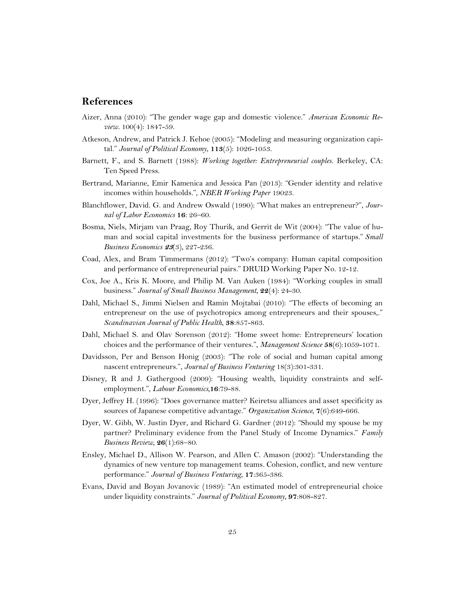#### **References**

- Aizer, Anna (2010): "The gender wage gap and domestic violence." *American Economic Review.* 100(4): 1847-59.
- Atkeson, Andrew, and Patrick J. Kehoe (2005): "[Modeling and measuring organization capi](http://ideas.repec.org/a/ucp/jpolec/v113y2005i5p1026-1053.html)[tal](http://ideas.repec.org/a/ucp/jpolec/v113y2005i5p1026-1053.html)." *[Journal of Political Economy](http://ideas.repec.org/s/ucp/jpolec.html)*, **113**(5): 1026-1053.
- Barnett, F., and S. Barnett (1988): *Working together: Entrepreneurial couples*. Berkeley, CA: Ten Speed Press.
- Bertrand, Marianne, Emir Kamenica and Jessica Pan (2013): "Gender identity and relative incomes within households.", *NBER Working Paper* 19023.
- Blanchflower, David. G. and Andrew Oswald (1990): "What makes an entrepreneur?", *Journal of Labor Economics* **16**: 26–60.
- Bosma, Niels, Mirjam van Praag, Roy Thurik, and Gerrit de Wit (2004): "The value of human and social capital investments for the business performance of startups." *Small Business Economics* **<sup>23</sup>**(3), 227-236.
- Coad, Alex, and Bram Timmermans (2012): "Two's company: Human capital composition and performance of entrepreneurial pairs." DRUID Working Paper No. 12-12.
- Cox, Joe A., Kris K. Moore, and Philip M. Van Auken (1984): "Working couples in small business." *Journal of Small Business Management*, **22**(4): 24-30.
- Dahl, Michael S., Jimmi Nielsen and Ramin Mojtabai (2010): "The effects of becoming an entrepreneur on the use of psychotropics among entrepreneurs and their spouses,." *Scandinavian Journal of Public Health*, **38**:857-863.
- Dahl, Michael S. and Olav Sorenson (2012): "Home sweet home: Entrepreneurs' location choices and the performance of their ventures.", *Management Science* **58**(6):1059-1071.
- Davidsson, Per and Benson Honig (2003): "The role of social and human capital among nascent entrepreneurs.", *Journal of Business Venturing* 18(3):301-331.
- Disney, R and J. Gathergood (2009): "Housing wealth, liquidity constraints and selfemployment.", *Labour Economics,***16**:79-88.
- Dyer, Jeffrey H. (1996): "Does governance matter? Keiretsu alliances and asset specificity as sources of Japanese competitive advantage." *Organization Science*, **7**(6):649-666.
- Dyer, W. Gibb, W. Justin Dyer, and Richard G. Gardner (2012): "Should my spouse be my partner? Preliminary evidence from the Panel Study of Income Dynamics." *Family Business Review*, **26**(1):68–80.
- Ensley, Michael D., Allison W. Pearson, and Allen C. Amason (2002): "Understanding the dynamics of new venture top management teams. Cohesion, conflict, and new venture performance." *Journal of Business Venturing*, **17**:365-386.
- Evans, David and Boyan Jovanovic (1989): "An estimated model of entrepreneurial choice under liquidity constraints." *Journal of Political Economy*, **97**:808-827.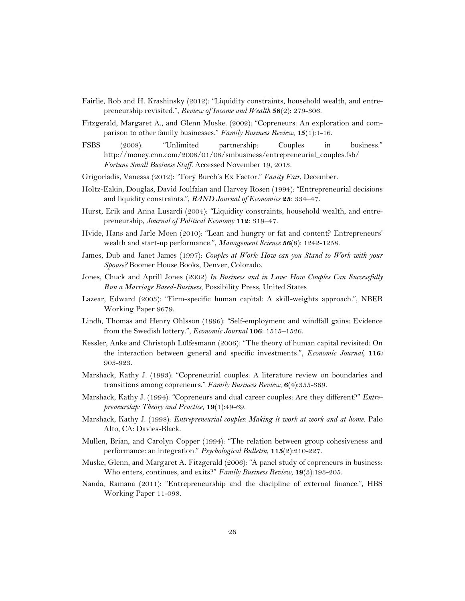- Fairlie, Rob and H. Krashinsky (2012): "Liquidity constraints, household wealth, and entrepreneurship revisited.", *Review of Income and Wealth* **58**(2): 279-306.
- Fitzgerald, Margaret A., and Glenn Muske. (2002): "Copreneurs: An exploration and comparison to other family businesses." *Family Business Review*, **15**(1):1-16.
- FSBS (2008): "Unlimited partnership: Couples in business." [http://money.cnn.com/2008/01/08/smbusiness/entrepreneurial\\_couples.fsb/](http://money.cnn.com/2008/01/08/smbusiness/entrepreneurial_couples.fsb/) *Fortune Small Business Staff.* Accessed November 19, 2013.
- [Grigoriadis,](https://www.byliner.com/vanessa-grigoriadis) Vanessa (2012): "Tory Burch's Ex Factor." *[Vanity Fair](https://www.byliner.com/publications/vanity-fair)*, December.
- Holtz-Eakin, Douglas, David Joulfaian and Harvey Rosen (1994): "Entrepreneurial decisions and liquidity constraints.", *RAND Journal of Economics* **25**: 334–47.
- Hurst, Erik and Anna Lusardi (2004): "Liquidity constraints, household wealth, and entrepreneurship, *Journal of Political Economy* **112**: 319–47.
- Hvide, Hans and Jarle Moen (2010): "Lean and hungry or fat and content? Entrepreneurs' wealth and start-up performance.", *Management Science* **56**(8): 1242-1258.
- James, Dub and Janet James (1997): *Couples at Work: How can you Stand to Work with your Spouse?* Boomer House Books, Denver, Colorado.
- Jones, Chuck and Aprill Jones (2002) *In Business and in Love: How Couples Can Successfully Run a Marriage Based-Business*, Possibility Press, United States
- Lazear, Edward (2003): "Firm-specific human capital: A skill-weights approach.", NBER Working Paper 9679.
- Lindh, Thomas and Henry Ohlsson (1996): "Self-employment and windfall gains: Evidence from the Swedish lottery.", *Economic Journal* **106**: 1515–1526.
- Kessler, Anke and Christoph Lülfesmann (2006): "The theory of human capital revisited: On the interaction between general and specific investments.", *Economic Journal,* **116:**  903-923.
- Marshack, Kathy J. (1993): "Copreneurial couples: A literature review on boundaries and transitions among copreneurs." *Family Business Review*, **6**(4):355-369.
- Marshack, Kathy J. (1994): "Copreneurs and dual career couples: Are they different?" *Entrepreneurship: Theory and Practice*, **19**(1):49-69.
- Marshack, Kathy J. (1998): *Entrepreneurial couples: Making it work at work and at home*. Palo Alto, CA: Davies-Black.
- Mullen, Brian, and Carolyn Copper (1994): "The relation between group cohesiveness and performance: an integration." *Psychological Bulletin*, **115**(2):210-227.
- Muske, Glenn, and Margaret A. Fitzgerald (2006): "A panel study of copreneurs in business: Who enters, continues, and exits?" *Family Business Review*, **19**(3):193-205.
- Nanda, Ramana (2011): "Entrepreneurship and the discipline of external finance.", HBS Working Paper 11-098.